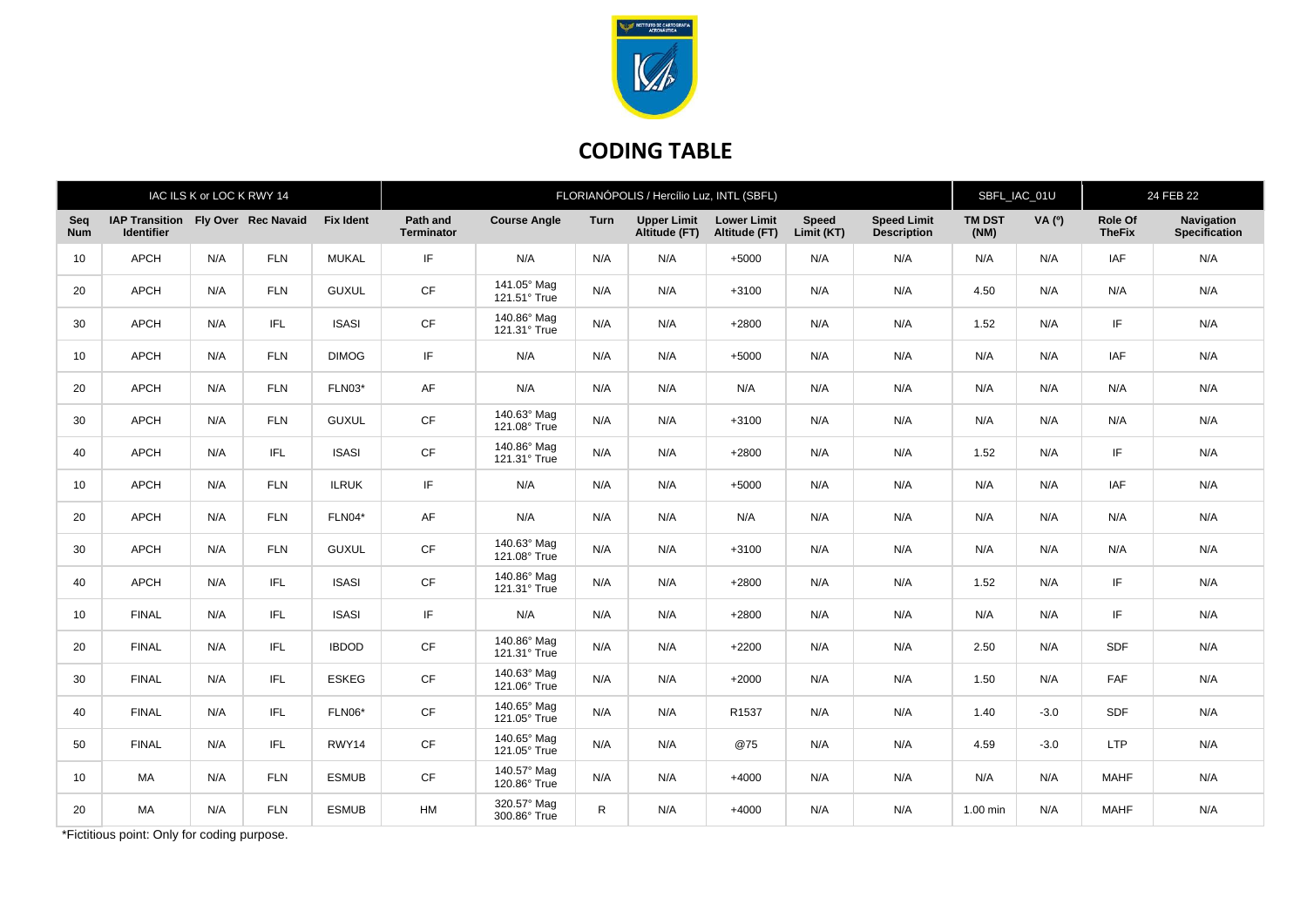

## **CODING TABLE**

| IAC ILS K or LOC K RWY 14 |                                                         |     |            |                  | FLORIANÓPOLIS / Hercílio Luz, INTL (SBFL) |                             |              |                                     |                                     |                            |                                          |                       | SBFL_IAC_01U  |                          | 24 FEB 22                          |  |
|---------------------------|---------------------------------------------------------|-----|------------|------------------|-------------------------------------------|-----------------------------|--------------|-------------------------------------|-------------------------------------|----------------------------|------------------------------------------|-----------------------|---------------|--------------------------|------------------------------------|--|
| Seq<br><b>Num</b>         | IAP Transition Fly Over Rec Navaid<br><b>Identifier</b> |     |            | <b>Fix Ident</b> | Path and<br><b>Terminator</b>             | <b>Course Angle</b>         | Turn         | <b>Upper Limit</b><br>Altitude (FT) | <b>Lower Limit</b><br>Altitude (FT) | <b>Speed</b><br>Limit (KT) | <b>Speed Limit</b><br><b>Description</b> | <b>TM DST</b><br>(NM) | <b>VA</b> (°) | Role Of<br><b>TheFix</b> | Navigation<br><b>Specification</b> |  |
| 10                        | APCH                                                    | N/A | <b>FLN</b> | <b>MUKAL</b>     | IF                                        | N/A                         | N/A          | N/A                                 | $+5000$                             | N/A                        | N/A                                      | N/A                   | N/A           | IAF                      | N/A                                |  |
| 20                        | <b>APCH</b>                                             | N/A | <b>FLN</b> | <b>GUXUL</b>     | CF                                        | 141.05° Mag<br>121.51° True | N/A          | N/A                                 | $+3100$                             | N/A                        | N/A                                      | 4.50                  | N/A           | N/A                      | N/A                                |  |
| 30                        | APCH                                                    | N/A | IFL        | <b>ISASI</b>     | CF                                        | 140.86° Mag<br>121.31° True | N/A          | N/A                                 | $+2800$                             | N/A                        | N/A                                      | 1.52                  | N/A           | IF                       | N/A                                |  |
| 10                        | <b>APCH</b>                                             | N/A | <b>FLN</b> | <b>DIMOG</b>     | IF                                        | N/A                         | N/A          | N/A                                 | $+5000$                             | N/A                        | N/A                                      | N/A                   | N/A           | <b>IAF</b>               | N/A                                |  |
| 20                        | <b>APCH</b>                                             | N/A | <b>FLN</b> | FLN03*           | AF                                        | N/A                         | N/A          | N/A                                 | N/A                                 | N/A                        | N/A                                      | N/A                   | N/A           | N/A                      | N/A                                |  |
| 30                        | <b>APCH</b>                                             | N/A | <b>FLN</b> | <b>GUXUL</b>     | <b>CF</b>                                 | 140.63° Mag<br>121.08° True | N/A          | N/A                                 | $+3100$                             | N/A                        | N/A                                      | N/A                   | N/A           | N/A                      | N/A                                |  |
| 40                        | APCH                                                    | N/A | IFL.       | <b>ISASI</b>     | CF                                        | 140.86° Mag<br>121.31° True | N/A          | N/A                                 | $+2800$                             | N/A                        | N/A                                      | 1.52                  | N/A           | IF                       | N/A                                |  |
| 10                        | <b>APCH</b>                                             | N/A | <b>FLN</b> | <b>ILRUK</b>     | IF                                        | N/A                         | N/A          | N/A                                 | $+5000$                             | N/A                        | N/A                                      | N/A                   | N/A           | IAF                      | N/A                                |  |
| 20                        | <b>APCH</b>                                             | N/A | <b>FLN</b> | FLN04*           | AF                                        | N/A                         | N/A          | N/A                                 | N/A                                 | N/A                        | N/A                                      | N/A                   | N/A           | N/A                      | N/A                                |  |
| 30                        | <b>APCH</b>                                             | N/A | <b>FLN</b> | <b>GUXUL</b>     | CF                                        | 140.63° Mag<br>121.08° True | N/A          | N/A                                 | $+3100$                             | N/A                        | N/A                                      | N/A                   | N/A           | N/A                      | N/A                                |  |
| 40                        | APCH                                                    | N/A | IFL        | <b>ISASI</b>     | CF                                        | 140.86° Mag<br>121.31° True | N/A          | N/A                                 | $+2800$                             | N/A                        | N/A                                      | 1.52                  | N/A           | IF                       | N/A                                |  |
| 10                        | <b>FINAL</b>                                            | N/A | IFL.       | <b>ISASI</b>     | IF                                        | N/A                         | N/A          | N/A                                 | $+2800$                             | N/A                        | N/A                                      | N/A                   | N/A           | IF                       | N/A                                |  |
| 20                        | <b>FINAL</b>                                            | N/A | IFL        | <b>IBDOD</b>     | <b>CF</b>                                 | 140.86° Mag<br>121.31° True | N/A          | N/A                                 | $+2200$                             | N/A                        | N/A                                      | 2.50                  | N/A           | <b>SDF</b>               | N/A                                |  |
| 30                        | <b>FINAL</b>                                            | N/A | IFL        | <b>ESKEG</b>     | CF                                        | 140.63° Mag<br>121.06° True | N/A          | N/A                                 | $+2000$                             | N/A                        | N/A                                      | 1.50                  | N/A           | FAF                      | N/A                                |  |
| 40                        | <b>FINAL</b>                                            | N/A | IFL.       | FLN06*           | <b>CF</b>                                 | 140.65° Mag<br>121.05° True | N/A          | N/A                                 | R1537                               | N/A                        | N/A                                      | 1.40                  | $-3.0$        | SDF                      | N/A                                |  |
| 50                        | <b>FINAL</b>                                            | N/A | IFL        | RWY14            | CF                                        | 140.65° Mag<br>121.05° True | N/A          | N/A                                 | @75                                 | N/A                        | N/A                                      | 4.59                  | $-3.0$        | <b>LTP</b>               | N/A                                |  |
| 10                        | MA                                                      | N/A | <b>FLN</b> | <b>ESMUB</b>     | <b>CF</b>                                 | 140.57° Mag<br>120.86° True | N/A          | N/A                                 | $+4000$                             | N/A                        | N/A                                      | N/A                   | N/A           | <b>MAHF</b>              | N/A                                |  |
| 20                        | MA                                                      | N/A | <b>FLN</b> | <b>ESMUB</b>     | <b>HM</b>                                 | 320.57° Mag<br>300.86° True | $\mathsf{R}$ | N/A                                 | $+4000$                             | N/A                        | N/A                                      | $1.00$ min            | N/A           | <b>MAHF</b>              | N/A                                |  |

\*Fictitious point: Only for coding purpose.